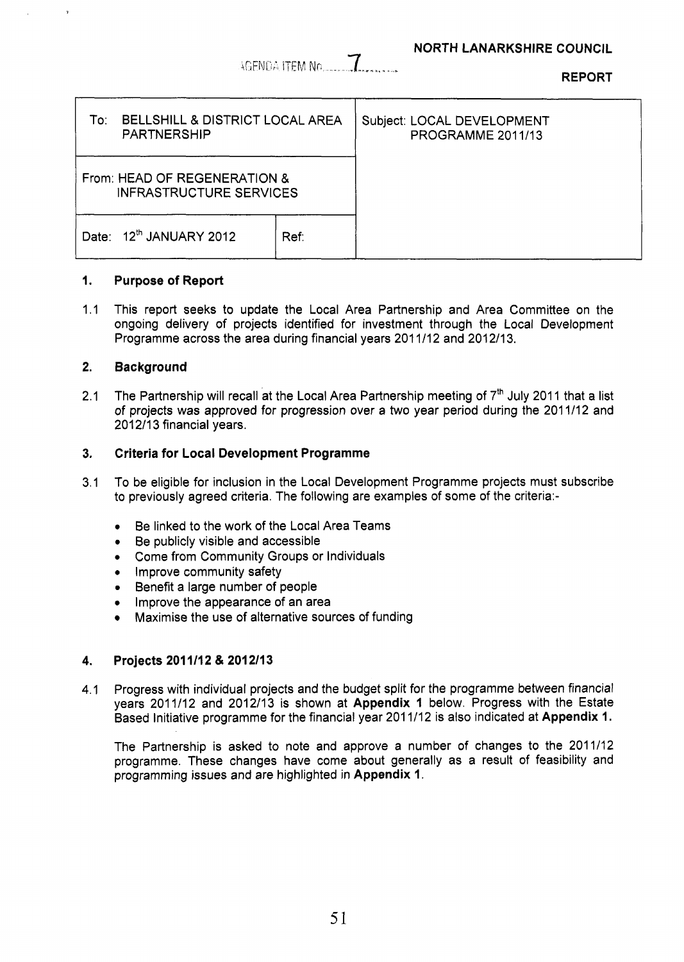AGENDA ITEM No

**REPORT** 

| <b>BELLSHILL &amp; DISTRICT LOCAL AREA</b><br>To∶<br><b>PARTNERSHIP</b> |      | Subject: LOCAL DEVELOPMENT<br>PROGRAMME 2011/13 |
|-------------------------------------------------------------------------|------|-------------------------------------------------|
| From: HEAD OF REGENERATION &<br><b>INFRASTRUCTURE SERVICES</b>          |      |                                                 |
| Date: 12th JANUARY 2012                                                 | Ref. |                                                 |

### **1. Purpose of Report**

1.1 This report seeks to update the Local Area Partnership and Area Committee on the ongoing delivery of projects identified for investment through the Local Development Programme across the area during financial years 201 1/12 and 2012/13.

## **2. Background**

2.1 The Partnership will recall at the Local Area Partnership meeting of 7<sup>th</sup> July 2011 that a list of projects was approved for progression over a two year period during the 2011/12 and 2012/13 financial years.

## **3. Criteria for Local Development Programme**

- 3.1 To be eligible for inclusion in the Local Development Programme projects must subscribe to previously agreed criteria. The following are examples of some of the criteria:-
	- *0*  Be linked to the work of the Local Area Teams
	- *0*  Be publicly visible and accessible
	- *0*  Come from Community Groups or Individuals
	- *•* Improve community safety
	- *0*  Benefit a large number of people
	- *0*  Improve the appearance of an area
	- Maximise the use of alternative sources of funding

## **4. Projects 201 1/12** & **201 211 3**

4.1 Progress with individual projects and the budget split for the programme between financial years 2011/12 and 2012113 is shown at **Appendix 1** below. Progress with the Estate Based Initiative programme for the financial year 201 1/12 is also indicated at **Appendix 1.** 

The Partnership is asked to note and approve a number of changes to the 2011/12 programme. These changes have come about generally as a result of feasibility and programming issues and are highlighted in **Appendix 1.**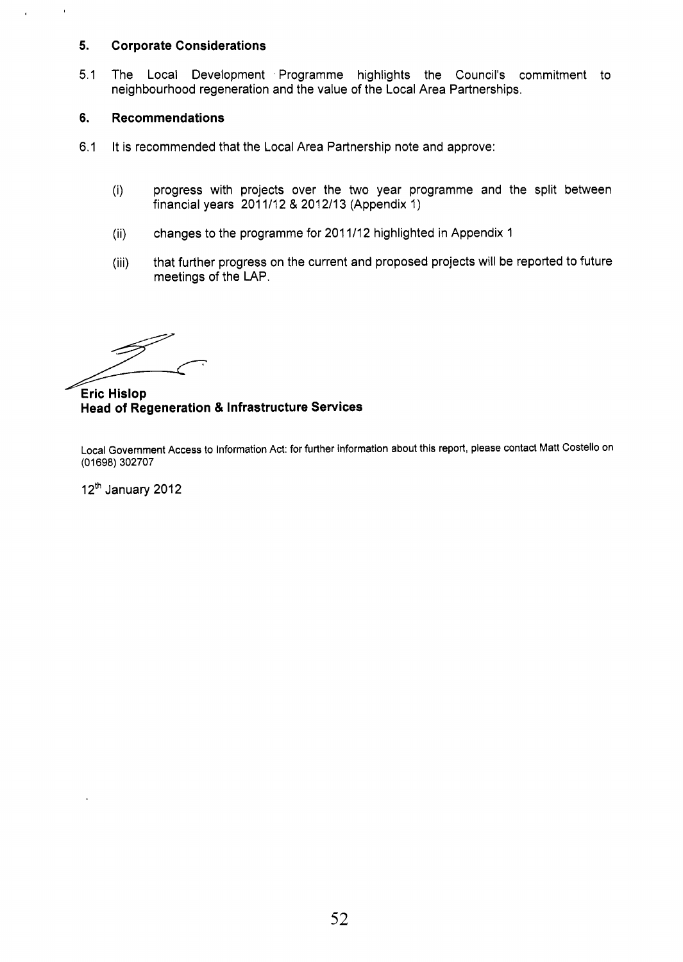#### **5. Corporate Considerations**

5.1 The Local Development Programme highlights the Council's commitment to neighbourhood regeneration and the value of the Local Area Partnerships.

#### **6. Recommendations**

 $\mathbf{r}$ 

 $\overline{1}$ 

- 6.1 It is recommended that the Local Area Partnership note and approve:
	- (i) progress with projects over the two year programme and the split between financial years 201 1/12 & 2012113 (Appendix 1)
	- changes to the programme for 201 1/12 highlighted in Appendix 1 (ii)
	- that further progress on the current and proposed projects will be reported to future meetings of the LAP. (iii)

**Eric Hislop Head of Regeneration** & **Infrastructure Services** 

Local Government Access to Information Act: for further information about this report, please contact Matt Costello on (01 698) 302707

12<sup>th</sup> January 2012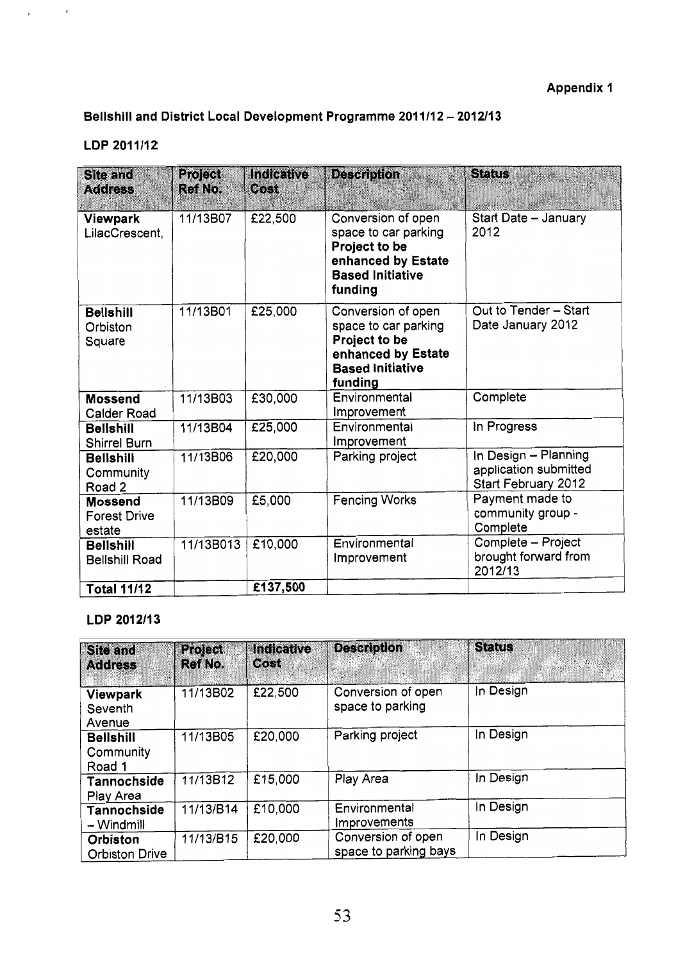# Bellshill and District Local Development Programme 2011/12 - 2012/13

## LDP 2011/12

 $\frac{1}{4}$  ,  $\frac{1}{2}$  ,  $\frac{1}{2}$  ,  $\frac{1}{2}$ 

| <b>Site and</b><br><b>Address</b>               | <b>Project</b><br><b>Ref No.</b> | Indicative<br>0.051 | <b>Description</b>                                                                                                      | <b>Status</b>                                                        |
|-------------------------------------------------|----------------------------------|---------------------|-------------------------------------------------------------------------------------------------------------------------|----------------------------------------------------------------------|
| Viewpark<br>LilacCrescent,                      | 11/13B07                         | £22,500             | Conversion of open<br>space to car parking<br>Project to be<br>enhanced by Estate<br><b>Based Initiative</b><br>funding | Start Date - January<br>2012                                         |
| <b>Bellshill</b><br>Orbiston<br>Square          | 11/13B01                         | £25,000             | Conversion of open<br>space to car parking<br>Project to be<br>enhanced by Estate<br><b>Based Initiative</b><br>funding | Out to Tender - Start<br>Date January 2012                           |
| <b>Mossend</b><br>Calder Road                   | 11/13B03                         | £30,000             | Environmental<br>Improvement                                                                                            | Complete                                                             |
| <b>Bellshill</b><br><b>Shirrel Burn</b>         | 11/13B04                         | £25,000             | Environmental<br>Improvement                                                                                            | In Progress                                                          |
| <b>Bellshill</b><br>Community<br>Road 2         | 11/13B06                         | £20,000             | Parking project                                                                                                         | In Design - Planning<br>application submitted<br>Start February 2012 |
| <b>Mossend</b><br><b>Forest Drive</b><br>estate | 11/13B09                         | £5,000              | <b>Fencing Works</b>                                                                                                    | Payment made to<br>community group -<br>Complete                     |
| <b>Bellshill</b><br><b>Bellshill Road</b>       | 11/13B013                        | £10,000             | Environmental<br>Improvement                                                                                            | Complete - Project<br>brought forward from<br>2012/13                |
| <b>Total 11/12</b>                              |                                  | £137,500            |                                                                                                                         |                                                                      |

## LDP 2012/13

| <b>Site and</b><br><b>Address</b>       | Project.<br><b>Ref No.</b> | <b>Indicative</b><br>Cost | <b>Description</b>                          | <b>Status</b> |
|-----------------------------------------|----------------------------|---------------------------|---------------------------------------------|---------------|
| Viewpark<br>Seventh<br>Avenue           | 11/13B02                   | £22,500                   | Conversion of open<br>space to parking      | In Design     |
| <b>Bellshill</b><br>Community<br>Road 1 | 11/13B05                   | £20,000                   | Parking project                             | In Design     |
| Tannochside<br>Play Area                | 11/13B12                   | £15,000                   | Play Area                                   | In Design     |
| <b>Tannochside</b><br>- Windmill        | 11/13/B14                  | £10,000                   | Environmental<br>Improvements               | In Design     |
| Orbiston<br><b>Orbiston Drive</b>       | 11/13/B15                  | £20,000                   | Conversion of open<br>space to parking bays | In Design     |